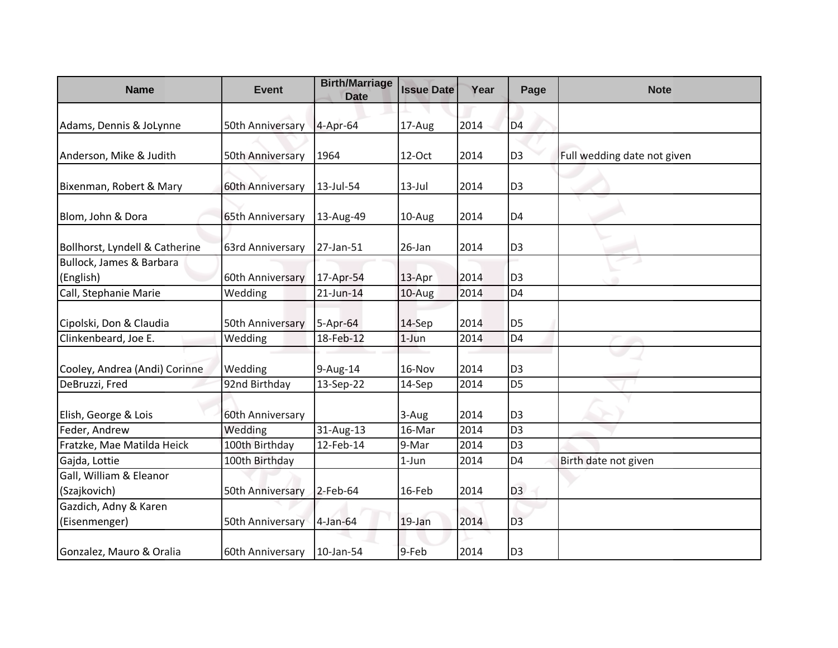| <b>Name</b>                            | <b>Event</b>     | <b>Birth/Marriage</b><br><b>Date</b> | <b>Issue Date</b> | Year | Page           | <b>Note</b>                 |
|----------------------------------------|------------------|--------------------------------------|-------------------|------|----------------|-----------------------------|
| Adams, Dennis & JoLynne                | 50th Anniversary | 4-Apr-64                             | 17-Aug            | 2014 | D <sub>4</sub> |                             |
|                                        |                  |                                      |                   |      |                |                             |
| Anderson, Mike & Judith                | 50th Anniversary | 1964                                 | 12-Oct            | 2014 | D <sub>3</sub> | Full wedding date not given |
| Bixenman, Robert & Mary                | 60th Anniversary | 13-Jul-54                            | $13$ -Jul         | 2014 | D <sub>3</sub> |                             |
| Blom, John & Dora                      | 65th Anniversary | 13-Aug-49                            | 10-Aug            | 2014 | D <sub>4</sub> |                             |
| Bollhorst, Lyndell & Catherine         | 63rd Anniversary | 27-Jan-51                            | 26-Jan            | 2014 | D <sub>3</sub> |                             |
| Bullock, James & Barbara               |                  |                                      |                   |      |                |                             |
| (English)                              | 60th Anniversary | 17-Apr-54                            | 13-Apr            | 2014 | D <sub>3</sub> |                             |
| Call, Stephanie Marie                  | Wedding          | 21-Jun-14                            | 10-Aug            | 2014 | D <sub>4</sub> |                             |
| Cipolski, Don & Claudia                | 50th Anniversary | 5-Apr-64                             | 14-Sep            | 2014 | D <sub>5</sub> |                             |
| Clinkenbeard, Joe E.                   | Wedding          | 18-Feb-12                            | $1$ -Jun          | 2014 | D <sub>4</sub> |                             |
|                                        |                  |                                      |                   |      |                |                             |
| Cooley, Andrea (Andi) Corinne          | Wedding          | 9-Aug-14                             | 16-Nov            | 2014 | D <sub>3</sub> |                             |
| DeBruzzi, Fred                         | 92nd Birthday    | 13-Sep-22                            | 14-Sep            | 2014 | D <sub>5</sub> |                             |
| Elish, George & Lois                   | 60th Anniversary |                                      | 3-Aug             | 2014 | D <sub>3</sub> |                             |
| Feder, Andrew                          | Wedding          | 31-Aug-13                            | 16-Mar            | 2014 | D <sub>3</sub> |                             |
| Fratzke, Mae Matilda Heick             | 100th Birthday   | 12-Feb-14                            | 9-Mar             | 2014 | D <sub>3</sub> |                             |
| Gajda, Lottie                          | 100th Birthday   |                                      | $1-Jun$           | 2014 | D <sub>4</sub> | Birth date not given        |
| Gall, William & Eleanor                |                  |                                      |                   |      |                |                             |
| (Szajkovich)                           | 50th Anniversary | $2$ -Feb-64                          | 16-Feb            | 2014 | D <sub>3</sub> |                             |
| Gazdich, Adny & Karen<br>(Eisenmenger) | 50th Anniversary | 4-Jan-64                             | 19-Jan            | 2014 | D <sub>3</sub> |                             |
| Gonzalez, Mauro & Oralia               | 60th Anniversary | 10-Jan-54                            | 9-Feb             | 2014 | D <sub>3</sub> |                             |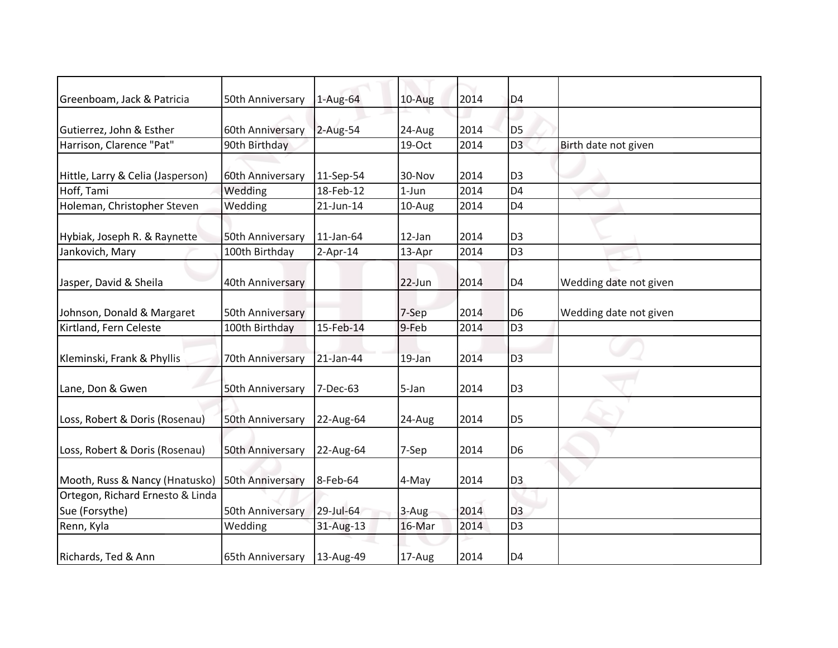| Greenboam, Jack & Patricia                         | 50th Anniversary | $1-Aug-64$  | 10-Aug   | 2014 | D <sub>4</sub> |                        |
|----------------------------------------------------|------------------|-------------|----------|------|----------------|------------------------|
| Gutierrez, John & Esther                           | 60th Anniversary | 2-Aug-54    | 24-Aug   | 2014 | D <sub>5</sub> |                        |
| Harrison, Clarence "Pat"                           | 90th Birthday    |             | 19-Oct   | 2014 | D <sub>3</sub> | Birth date not given   |
| Hittle, Larry & Celia (Jasperson)                  | 60th Anniversary | 11-Sep-54   | 30-Nov   | 2014 | D <sub>3</sub> |                        |
| Hoff, Tami                                         | Wedding          | 18-Feb-12   | $1-Jun$  | 2014 | D <sub>4</sub> |                        |
| Holeman, Christopher Steven                        | Wedding          | 21-Jun-14   | 10-Aug   | 2014 | D <sub>4</sub> |                        |
| Hybiak, Joseph R. & Raynette                       | 50th Anniversary | 11-Jan-64   | 12-Jan   | 2014 | D <sub>3</sub> |                        |
| Jankovich, Mary                                    | 100th Birthday   | $2$ -Apr-14 | 13-Apr   | 2014 | D <sub>3</sub> |                        |
| Jasper, David & Sheila                             | 40th Anniversary |             | $22-Jun$ | 2014 | D <sub>4</sub> | Wedding date not given |
| Johnson, Donald & Margaret                         | 50th Anniversary |             | 7-Sep    | 2014 | D <sub>6</sub> | Wedding date not given |
| Kirtland, Fern Celeste                             | 100th Birthday   | 15-Feb-14   | 9-Feb    | 2014 | D <sub>3</sub> |                        |
| Kleminski, Frank & Phyllis                         | 70th Anniversary | 21-Jan-44   | 19-Jan   | 2014 | D <sub>3</sub> |                        |
| Lane, Don & Gwen                                   | 50th Anniversary | 7-Dec-63    | 5-Jan    | 2014 | D <sub>3</sub> |                        |
| Loss, Robert & Doris (Rosenau)                     | 50th Anniversary | 22-Aug-64   | 24-Aug   | 2014 | D <sub>5</sub> |                        |
| Loss, Robert & Doris (Rosenau)                     | 50th Anniversary | 22-Aug-64   | 7-Sep    | 2014 | D <sub>6</sub> |                        |
| Mooth, Russ & Nancy (Hnatusko)                     | 50th Anniversary | 8-Feb-64    | 4-May    | 2014 | D <sub>3</sub> |                        |
| Ortegon, Richard Ernesto & Linda<br>Sue (Forsythe) | 50th Anniversary | 29-Jul-64   | 3-Aug    | 2014 | D <sub>3</sub> |                        |
| Renn, Kyla                                         | Wedding          | 31-Aug-13   | 16-Mar   | 2014 | D <sub>3</sub> |                        |
| Richards, Ted & Ann                                | 65th Anniversary | 13-Aug-49   | 17-Aug   | 2014 | D <sub>4</sub> |                        |